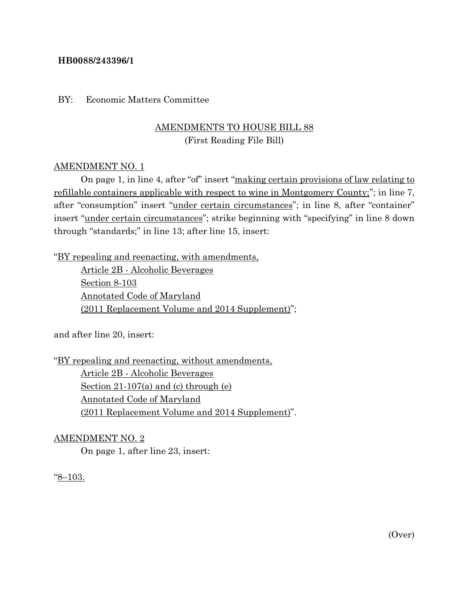## **HB0088/243396/1**

## BY: Economic Matters Committee

# AMENDMENTS TO HOUSE BILL 88 (First Reading File Bill)

## AMENDMENT NO. 1

On page 1, in line 4, after "of" insert "making certain provisions of law relating to refillable containers applicable with respect to wine in Montgomery County;"; in line 7, after "consumption" insert "under certain circumstances"; in line 8, after "container" insert "under certain circumstances"; strike beginning with "specifying" in line 8 down through "standards;" in line 13; after line 15, insert:

"BY repealing and reenacting, with amendments,

Article 2B - Alcoholic Beverages Section 8-103 Annotated Code of Maryland (2011 Replacement Volume and 2014 Supplement)";

and after line 20, insert:

"BY repealing and reenacting, without amendments, Article 2B - Alcoholic Beverages Section 21-107(a) and (c) through (e) Annotated Code of Maryland (2011 Replacement Volume and 2014 Supplement)".

#### AMENDMENT NO. 2

On page 1, after line 23, insert:

"8–103.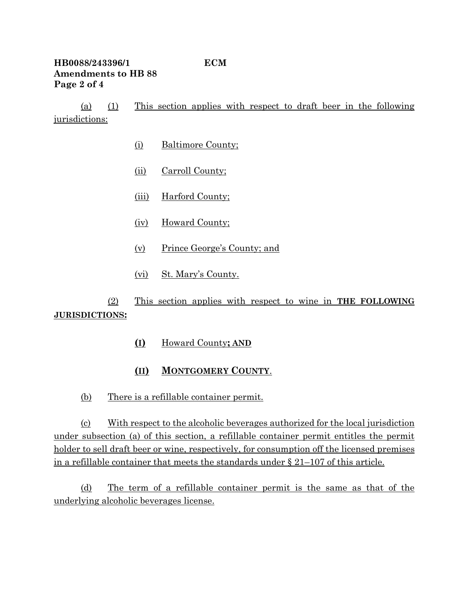# **HB0088/243396/1 ECM Amendments to HB 88 Page 2 of 4**

(a) (1) This section applies with respect to draft beer in the following jurisdictions:

- (i) Baltimore County;
- (ii) Carroll County;
- (iii) Harford County;
- (iv) Howard County;
- (v) Prince George's County; and
- (vi) St. Mary's County.

(2) This section applies with respect to wine in **THE FOLLOWING JURISDICTIONS:**

- **(I)** Howard County**; AND**
- **(II) MONTGOMERY COUNTY**.
- (b) There is a refillable container permit.

(c) With respect to the alcoholic beverages authorized for the local jurisdiction under subsection (a) of this section, a refillable container permit entitles the permit holder to sell draft beer or wine, respectively, for consumption off the licensed premises in a refillable container that meets the standards under § 21–107 of this article.

(d) The term of a refillable container permit is the same as that of the underlying alcoholic beverages license.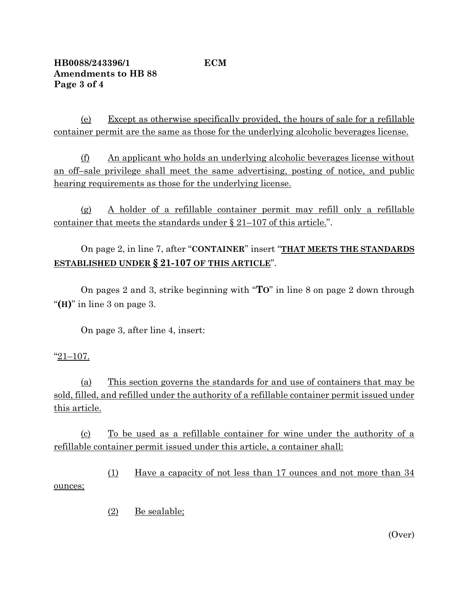(e) Except as otherwise specifically provided, the hours of sale for a refillable container permit are the same as those for the underlying alcoholic beverages license.

(f) An applicant who holds an underlying alcoholic beverages license without an off–sale privilege shall meet the same advertising, posting of notice, and public hearing requirements as those for the underlying license.

(g) A holder of a refillable container permit may refill only a refillable container that meets the standards under § 21–107 of this article.".

On page 2, in line 7, after "**CONTAINER**" insert "**THAT MEETS THE STANDARDS ESTABLISHED UNDER § 21-107 OF THIS ARTICLE**".

On pages 2 and 3, strike beginning with "**TO**" in line 8 on page 2 down through "**(H)**" in line 3 on page 3.

On page 3, after line 4, insert:

## "21–107.

(a) This section governs the standards for and use of containers that may be sold, filled, and refilled under the authority of a refillable container permit issued under this article.

(c) To be used as a refillable container for wine under the authority of a refillable container permit issued under this article, a container shall:

(1) Have a capacity of not less than 17 ounces and not more than 34 ounces;

(2) Be sealable;

(Over)